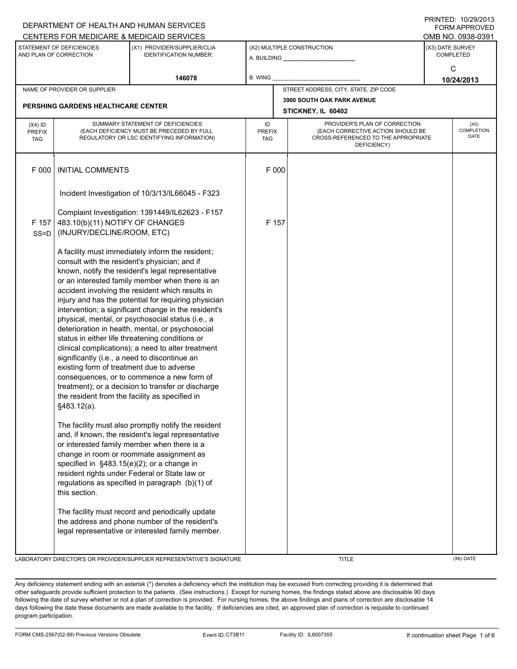|                                                     |                                                                                                                                                                                                                                                                                                                                                                                                                                                                                                                                                                                                                                                                                                                                                                                                                                                                    | DEPARTMENT OF HEALTH AND HUMAN SERVICES                                                                                                                                                                                                                                                                                                                                                                                                                             |                            |                                                                                                                          |                                       |                  | I INITILLY. IVILYILUTU<br><b>FORM APPROVED</b> |
|-----------------------------------------------------|--------------------------------------------------------------------------------------------------------------------------------------------------------------------------------------------------------------------------------------------------------------------------------------------------------------------------------------------------------------------------------------------------------------------------------------------------------------------------------------------------------------------------------------------------------------------------------------------------------------------------------------------------------------------------------------------------------------------------------------------------------------------------------------------------------------------------------------------------------------------|---------------------------------------------------------------------------------------------------------------------------------------------------------------------------------------------------------------------------------------------------------------------------------------------------------------------------------------------------------------------------------------------------------------------------------------------------------------------|----------------------------|--------------------------------------------------------------------------------------------------------------------------|---------------------------------------|------------------|------------------------------------------------|
|                                                     |                                                                                                                                                                                                                                                                                                                                                                                                                                                                                                                                                                                                                                                                                                                                                                                                                                                                    | CENTERS FOR MEDICARE & MEDICAID SERVICES                                                                                                                                                                                                                                                                                                                                                                                                                            |                            |                                                                                                                          |                                       |                  | OMB NO. 0938-0391                              |
| STATEMENT OF DEFICIENCIES<br>AND PLAN OF CORRECTION |                                                                                                                                                                                                                                                                                                                                                                                                                                                                                                                                                                                                                                                                                                                                                                                                                                                                    | (X1) PROVIDER/SUPPLIER/CLIA<br><b>IDENTIFICATION NUMBER:</b>                                                                                                                                                                                                                                                                                                                                                                                                        |                            |                                                                                                                          | (X2) MULTIPLE CONSTRUCTION            | (X3) DATE SURVEY | <b>COMPLETED</b>                               |
|                                                     |                                                                                                                                                                                                                                                                                                                                                                                                                                                                                                                                                                                                                                                                                                                                                                                                                                                                    | 146078                                                                                                                                                                                                                                                                                                                                                                                                                                                              | B. WING                    |                                                                                                                          |                                       | C<br>10/24/2013  |                                                |
|                                                     | NAME OF PROVIDER OR SUPPLIER                                                                                                                                                                                                                                                                                                                                                                                                                                                                                                                                                                                                                                                                                                                                                                                                                                       |                                                                                                                                                                                                                                                                                                                                                                                                                                                                     |                            |                                                                                                                          | STREET ADDRESS, CITY, STATE, ZIP CODE |                  |                                                |
|                                                     | <b>PERSHING GARDENS HEALTHCARE CENTER</b>                                                                                                                                                                                                                                                                                                                                                                                                                                                                                                                                                                                                                                                                                                                                                                                                                          |                                                                                                                                                                                                                                                                                                                                                                                                                                                                     |                            |                                                                                                                          | 3900 SOUTH OAK PARK AVENUE            |                  |                                                |
|                                                     |                                                                                                                                                                                                                                                                                                                                                                                                                                                                                                                                                                                                                                                                                                                                                                                                                                                                    |                                                                                                                                                                                                                                                                                                                                                                                                                                                                     |                            |                                                                                                                          | STICKNEY, IL 60402                    |                  |                                                |
| $(X4)$ ID<br><b>PREFIX</b><br><b>TAG</b>            | SUMMARY STATEMENT OF DEFICIENCIES<br>(EACH DEFICIENCY MUST BE PRECEDED BY FULL<br>REGULATORY OR LSC IDENTIFYING INFORMATION)                                                                                                                                                                                                                                                                                                                                                                                                                                                                                                                                                                                                                                                                                                                                       |                                                                                                                                                                                                                                                                                                                                                                                                                                                                     | ID<br><b>PREFIX</b><br>TAG | PROVIDER'S PLAN OF CORRECTION<br>(EACH CORRECTIVE ACTION SHOULD BE<br>CROSS-REFERENCED TO THE APPROPRIATE<br>DEFICIENCY) |                                       |                  | (X5)<br>COMPLETION<br><b>DATE</b>              |
| F 000                                               | <b>INITIAL COMMENTS</b>                                                                                                                                                                                                                                                                                                                                                                                                                                                                                                                                                                                                                                                                                                                                                                                                                                            |                                                                                                                                                                                                                                                                                                                                                                                                                                                                     | F 000                      |                                                                                                                          |                                       |                  |                                                |
|                                                     |                                                                                                                                                                                                                                                                                                                                                                                                                                                                                                                                                                                                                                                                                                                                                                                                                                                                    | Incident Investigation of 10/3/13/IL66045 - F323                                                                                                                                                                                                                                                                                                                                                                                                                    |                            |                                                                                                                          |                                       |                  |                                                |
|                                                     |                                                                                                                                                                                                                                                                                                                                                                                                                                                                                                                                                                                                                                                                                                                                                                                                                                                                    | Complaint Investigation: 1391449/IL62623 - F157                                                                                                                                                                                                                                                                                                                                                                                                                     |                            |                                                                                                                          |                                       |                  |                                                |
| F 157                                               | 483.10(b)(11) NOTIFY OF CHANGES                                                                                                                                                                                                                                                                                                                                                                                                                                                                                                                                                                                                                                                                                                                                                                                                                                    |                                                                                                                                                                                                                                                                                                                                                                                                                                                                     | F 157                      |                                                                                                                          |                                       |                  |                                                |
| $SS = D$                                            | (INJURY/DECLINE/ROOM, ETC)                                                                                                                                                                                                                                                                                                                                                                                                                                                                                                                                                                                                                                                                                                                                                                                                                                         |                                                                                                                                                                                                                                                                                                                                                                                                                                                                     |                            |                                                                                                                          |                                       |                  |                                                |
|                                                     | A facility must immediately inform the resident;<br>consult with the resident's physician; and if<br>known, notify the resident's legal representative<br>or an interested family member when there is an<br>accident involving the resident which results in<br>injury and has the potential for requiring physician<br>intervention; a significant change in the resident's<br>physical, mental, or psychosocial status (i.e., a<br>deterioration in health, mental, or psychosocial<br>status in either life threatening conditions or<br>clinical complications); a need to alter treatment<br>significantly (i.e., a need to discontinue an<br>existing form of treatment due to adverse<br>consequences, or to commence a new form of<br>treatment); or a decision to transfer or discharge<br>the resident from the facility as specified in<br>§483.12(a). |                                                                                                                                                                                                                                                                                                                                                                                                                                                                     |                            |                                                                                                                          |                                       |                  |                                                |
|                                                     | specified in §483.15(e)(2); or a change in<br>this section.                                                                                                                                                                                                                                                                                                                                                                                                                                                                                                                                                                                                                                                                                                                                                                                                        | The facility must also promptly notify the resident<br>and, if known, the resident's legal representative<br>or interested family member when there is a<br>change in room or roommate assignment as<br>resident rights under Federal or State law or<br>regulations as specified in paragraph (b)(1) of<br>The facility must record and periodically update<br>the address and phone number of the resident's<br>legal representative or interested family member. |                            |                                                                                                                          |                                       |                  |                                                |
|                                                     |                                                                                                                                                                                                                                                                                                                                                                                                                                                                                                                                                                                                                                                                                                                                                                                                                                                                    |                                                                                                                                                                                                                                                                                                                                                                                                                                                                     |                            |                                                                                                                          |                                       |                  |                                                |

LABORATORY DIRECTOR'S OR PROVIDER/SUPPLIER REPRESENTATIVE'S SIGNATURE THE TITLE THE TITLE THE CONSTRUCTION OF TITLE

PRINTED: 10/29/2013

Any deficiency statement ending with an asterisk (\*) denotes a deficiency which the institution may be excused from correcting providing it is determined that other safeguards provide sufficient protection to the patients . (See instructions.) Except for nursing homes, the findings stated above are disclosable 90 days following the date of survey whether or not a plan of correction is provided. For nursing homes, the above findings and plans of correction are disclosable 14 days following the date these documents are made available to the facility. If deficiencies are cited, an approved plan of correction is requisite to continued program participation.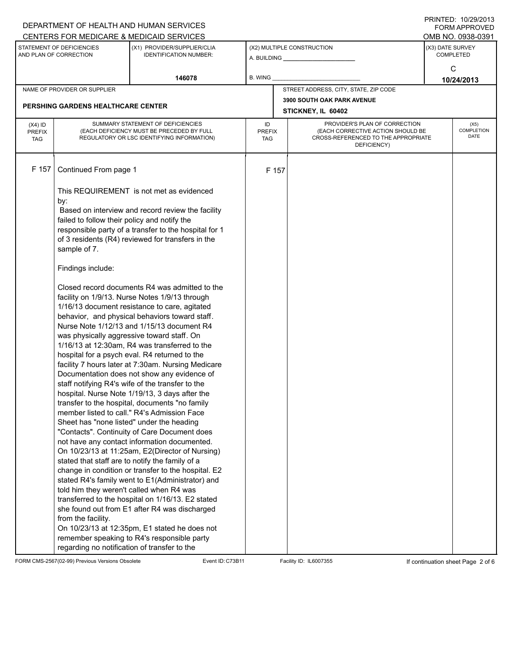|                                                     |                                                                                                                                                                                                                                                                                                                                                                                                                                                                                                                                                                                                                                                                                                                                                                                                                                                                                                                                                                                                                                                                                                                                                                                                                                                                                                                                                                                                     | DEPARTMENT OF HEALTH AND HUMAN SERVICES<br>CENTERS FOR MEDICARE & MEDICAID SERVICES                                                                                                                         |                                   |                    |                                                                                                                          |  | FININILU. IVIZYIZU IJ<br><b>FORM APPROVED</b><br>OMB NO. 0938-0391 |  |  |
|-----------------------------------------------------|-----------------------------------------------------------------------------------------------------------------------------------------------------------------------------------------------------------------------------------------------------------------------------------------------------------------------------------------------------------------------------------------------------------------------------------------------------------------------------------------------------------------------------------------------------------------------------------------------------------------------------------------------------------------------------------------------------------------------------------------------------------------------------------------------------------------------------------------------------------------------------------------------------------------------------------------------------------------------------------------------------------------------------------------------------------------------------------------------------------------------------------------------------------------------------------------------------------------------------------------------------------------------------------------------------------------------------------------------------------------------------------------------------|-------------------------------------------------------------------------------------------------------------------------------------------------------------------------------------------------------------|-----------------------------------|--------------------|--------------------------------------------------------------------------------------------------------------------------|--|--------------------------------------------------------------------|--|--|
| STATEMENT OF DEFICIENCIES<br>AND PLAN OF CORRECTION |                                                                                                                                                                                                                                                                                                                                                                                                                                                                                                                                                                                                                                                                                                                                                                                                                                                                                                                                                                                                                                                                                                                                                                                                                                                                                                                                                                                                     | (X1) PROVIDER/SUPPLIER/CLIA<br><b>IDENTIFICATION NUMBER:</b>                                                                                                                                                |                                   |                    | (X2) MULTIPLE CONSTRUCTION                                                                                               |  | (X3) DATE SURVEY<br><b>COMPLETED</b>                               |  |  |
|                                                     |                                                                                                                                                                                                                                                                                                                                                                                                                                                                                                                                                                                                                                                                                                                                                                                                                                                                                                                                                                                                                                                                                                                                                                                                                                                                                                                                                                                                     | 146078                                                                                                                                                                                                      | <b>B. WING</b>                    |                    |                                                                                                                          |  | C<br>10/24/2013                                                    |  |  |
|                                                     | NAME OF PROVIDER OR SUPPLIER                                                                                                                                                                                                                                                                                                                                                                                                                                                                                                                                                                                                                                                                                                                                                                                                                                                                                                                                                                                                                                                                                                                                                                                                                                                                                                                                                                        |                                                                                                                                                                                                             |                                   |                    | STREET ADDRESS, CITY, STATE, ZIP CODE                                                                                    |  |                                                                    |  |  |
|                                                     |                                                                                                                                                                                                                                                                                                                                                                                                                                                                                                                                                                                                                                                                                                                                                                                                                                                                                                                                                                                                                                                                                                                                                                                                                                                                                                                                                                                                     |                                                                                                                                                                                                             |                                   |                    | <b>3900 SOUTH OAK PARK AVENUE</b>                                                                                        |  |                                                                    |  |  |
|                                                     | <b>PERSHING GARDENS HEALTHCARE CENTER</b>                                                                                                                                                                                                                                                                                                                                                                                                                                                                                                                                                                                                                                                                                                                                                                                                                                                                                                                                                                                                                                                                                                                                                                                                                                                                                                                                                           |                                                                                                                                                                                                             |                                   | STICKNEY, IL 60402 |                                                                                                                          |  |                                                                    |  |  |
| $(X4)$ ID<br><b>PREFIX</b><br><b>TAG</b>            | SUMMARY STATEMENT OF DEFICIENCIES<br>(EACH DEFICIENCY MUST BE PRECEDED BY FULL<br>REGULATORY OR LSC IDENTIFYING INFORMATION)                                                                                                                                                                                                                                                                                                                                                                                                                                                                                                                                                                                                                                                                                                                                                                                                                                                                                                                                                                                                                                                                                                                                                                                                                                                                        |                                                                                                                                                                                                             | ID<br><b>PREFIX</b><br><b>TAG</b> |                    | PROVIDER'S PLAN OF CORRECTION<br>(EACH CORRECTIVE ACTION SHOULD BE<br>CROSS-REFERENCED TO THE APPROPRIATE<br>DEFICIENCY) |  | (X5)<br>COMPLETION<br><b>DATE</b>                                  |  |  |
| F 157                                               | Continued From page 1                                                                                                                                                                                                                                                                                                                                                                                                                                                                                                                                                                                                                                                                                                                                                                                                                                                                                                                                                                                                                                                                                                                                                                                                                                                                                                                                                                               |                                                                                                                                                                                                             |                                   | F 157              |                                                                                                                          |  |                                                                    |  |  |
|                                                     | by:<br>failed to follow their policy and notify the<br>sample of 7.                                                                                                                                                                                                                                                                                                                                                                                                                                                                                                                                                                                                                                                                                                                                                                                                                                                                                                                                                                                                                                                                                                                                                                                                                                                                                                                                 | This REQUIREMENT is not met as evidenced<br>Based on interview and record review the facility<br>responsible party of a transfer to the hospital for 1<br>of 3 residents (R4) reviewed for transfers in the |                                   |                    |                                                                                                                          |  |                                                                    |  |  |
|                                                     | Findings include:                                                                                                                                                                                                                                                                                                                                                                                                                                                                                                                                                                                                                                                                                                                                                                                                                                                                                                                                                                                                                                                                                                                                                                                                                                                                                                                                                                                   |                                                                                                                                                                                                             |                                   |                    |                                                                                                                          |  |                                                                    |  |  |
|                                                     | Closed record documents R4 was admitted to the<br>facility on 1/9/13. Nurse Notes 1/9/13 through<br>1/16/13 document resistance to care, agitated<br>behavior, and physical behaviors toward staff.<br>Nurse Note 1/12/13 and 1/15/13 document R4<br>was physically aggressive toward staff. On<br>1/16/13 at 12:30am, R4 was transferred to the<br>hospital for a psych eval. R4 returned to the<br>facility 7 hours later at 7:30am. Nursing Medicare<br>Documentation does not show any evidence of<br>staff notifying R4's wife of the transfer to the<br>hospital. Nurse Note 1/19/13, 3 days after the<br>transfer to the hospital, documents "no family<br>member listed to call." R4's Admission Face<br>Sheet has "none listed" under the heading<br>"Contacts". Continuity of Care Document does<br>not have any contact information documented.<br>On 10/23/13 at 11:25am, E2(Director of Nursing)<br>stated that staff are to notify the family of a<br>change in condition or transfer to the hospital. E2<br>stated R4's family went to E1(Administrator) and<br>told him they weren't called when R4 was<br>transferred to the hospital on 1/16/13. E2 stated<br>she found out from E1 after R4 was discharged<br>from the facility.<br>On 10/23/13 at 12:35pm, E1 stated he does not<br>remember speaking to R4's responsible party<br>regarding no notification of transfer to the |                                                                                                                                                                                                             |                                   |                    |                                                                                                                          |  |                                                                    |  |  |

FORM CMS-2567(02-99) Previous Versions Obsolete Event ID:C73B11 Facility ID: IL6007355 If continuation sheet Page 2 of 6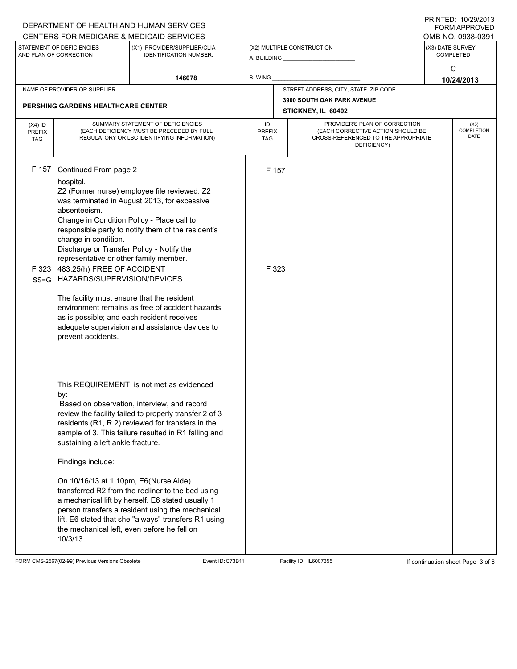|                                          |                                                                                                                                                                                                                                                                                                                                                                                                                                                                                                                                                                                                                                                           | DEPARTMENT OF HEALTH AND HUMAN SERVICES<br>CENTERS FOR MEDICARE & MEDICAID SERVICES                                                                                                                                                                                                                                                                                                                                                                                                  |                |                                                         |                                                                                                                                                               |                                      | FININILU. IVZYZVIJ<br>FORM APPROVED<br>OMB NO. 0938-0391 |  |  |
|------------------------------------------|-----------------------------------------------------------------------------------------------------------------------------------------------------------------------------------------------------------------------------------------------------------------------------------------------------------------------------------------------------------------------------------------------------------------------------------------------------------------------------------------------------------------------------------------------------------------------------------------------------------------------------------------------------------|--------------------------------------------------------------------------------------------------------------------------------------------------------------------------------------------------------------------------------------------------------------------------------------------------------------------------------------------------------------------------------------------------------------------------------------------------------------------------------------|----------------|---------------------------------------------------------|---------------------------------------------------------------------------------------------------------------------------------------------------------------|--------------------------------------|----------------------------------------------------------|--|--|
|                                          | STATEMENT OF DEFICIENCIES<br>AND PLAN OF CORRECTION                                                                                                                                                                                                                                                                                                                                                                                                                                                                                                                                                                                                       | (X1) PROVIDER/SUPPLIER/CLIA<br><b>IDENTIFICATION NUMBER:</b>                                                                                                                                                                                                                                                                                                                                                                                                                         |                |                                                         | (X2) MULTIPLE CONSTRUCTION                                                                                                                                    | (X3) DATE SURVEY<br><b>COMPLETED</b> |                                                          |  |  |
|                                          |                                                                                                                                                                                                                                                                                                                                                                                                                                                                                                                                                                                                                                                           | 146078                                                                                                                                                                                                                                                                                                                                                                                                                                                                               | <b>B. WING</b> |                                                         |                                                                                                                                                               | C<br>10/24/2013                      |                                                          |  |  |
|                                          | NAME OF PROVIDER OR SUPPLIER                                                                                                                                                                                                                                                                                                                                                                                                                                                                                                                                                                                                                              |                                                                                                                                                                                                                                                                                                                                                                                                                                                                                      |                |                                                         | STREET ADDRESS, CITY, STATE, ZIP CODE                                                                                                                         |                                      |                                                          |  |  |
|                                          | <b>PERSHING GARDENS HEALTHCARE CENTER</b>                                                                                                                                                                                                                                                                                                                                                                                                                                                                                                                                                                                                                 |                                                                                                                                                                                                                                                                                                                                                                                                                                                                                      |                | <b>3900 SOUTH OAK PARK AVENUE</b><br>STICKNEY, IL 60402 |                                                                                                                                                               |                                      |                                                          |  |  |
| $(X4)$ ID<br><b>PREFIX</b><br><b>TAG</b> | SUMMARY STATEMENT OF DEFICIENCIES<br>(EACH DEFICIENCY MUST BE PRECEDED BY FULL<br>REGULATORY OR LSC IDENTIFYING INFORMATION)                                                                                                                                                                                                                                                                                                                                                                                                                                                                                                                              |                                                                                                                                                                                                                                                                                                                                                                                                                                                                                      |                | <b>PREFIX</b>                                           | PROVIDER'S PLAN OF CORRECTION<br>(X5)<br>COMPLETION<br>(EACH CORRECTIVE ACTION SHOULD BE<br><b>DATE</b><br>CROSS-REFERENCED TO THE APPROPRIATE<br>DEFICIENCY) |                                      |                                                          |  |  |
| F 157<br>F 323<br>$SS = G$               | Continued From page 2<br>hospital.<br>Z2 (Former nurse) employee file reviewed. Z2<br>was terminated in August 2013, for excessive<br>absenteeism.<br>Change in Condition Policy - Place call to<br>responsible party to notify them of the resident's<br>change in condition.<br>Discharge or Transfer Policy - Notify the<br>representative or other family member.<br>483.25(h) FREE OF ACCIDENT<br>HAZARDS/SUPERVISION/DEVICES<br>The facility must ensure that the resident<br>environment remains as free of accident hazards<br>as is possible; and each resident receives<br>adequate supervision and assistance devices to<br>prevent accidents. |                                                                                                                                                                                                                                                                                                                                                                                                                                                                                      |                | F 157<br>F 323                                          |                                                                                                                                                               |                                      |                                                          |  |  |
|                                          | by:<br>sustaining a left ankle fracture.<br>Findings include:<br>On 10/16/13 at 1:10pm, E6(Nurse Aide)<br>the mechanical left, even before he fell on<br>10/3/13.                                                                                                                                                                                                                                                                                                                                                                                                                                                                                         | This REQUIREMENT is not met as evidenced<br>Based on observation, interview, and record<br>review the facility failed to properly transfer 2 of 3<br>residents (R1, R 2) reviewed for transfers in the<br>sample of 3. This failure resulted in R1 falling and<br>transferred R2 from the recliner to the bed using<br>a mechanical lift by herself. E6 stated usually 1<br>person transfers a resident using the mechanical<br>lift. E6 stated that she "always" transfers R1 using |                |                                                         |                                                                                                                                                               |                                      |                                                          |  |  |

FORM CMS-2567(02-99) Previous Versions Obsolete Event ID:C73B11 Facility ID: IL6007355 If continuation sheet Page 3 of 6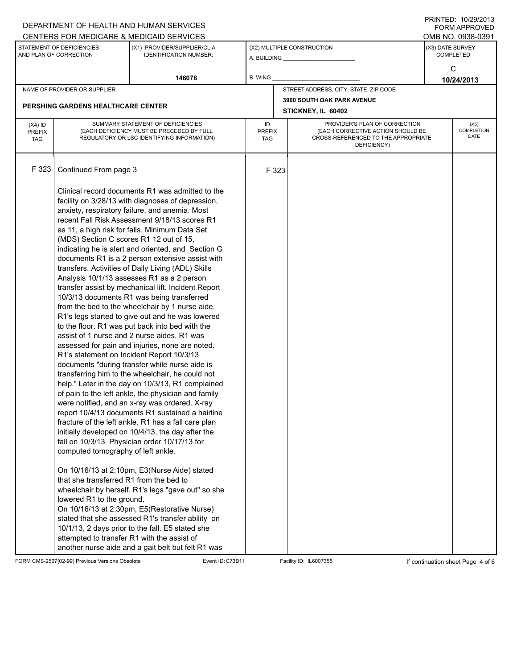|                                                                                                                     |                                                                                                                                                                                                                                                                                                                                                                                                                                                                                                                                                                                                                                                                                                                                                                                                                                                                                                                                                                                                                                                                                                                                                                                                                                                                                                                                                                                                                                                                                                                                                                                                                                                                                                                                                                                                                                                                             | DEPARTMENT OF HEALTH AND HUMAN SERVICES<br>CENTERS FOR MEDICARE & MEDICAID SERVICES |                            |                                                                                                  |                                                                                                                                        |                                           | PRINTED. 10/29/2013<br><b>FORM APPROVED</b><br>OMB NO. 0938-0391 |  |  |
|---------------------------------------------------------------------------------------------------------------------|-----------------------------------------------------------------------------------------------------------------------------------------------------------------------------------------------------------------------------------------------------------------------------------------------------------------------------------------------------------------------------------------------------------------------------------------------------------------------------------------------------------------------------------------------------------------------------------------------------------------------------------------------------------------------------------------------------------------------------------------------------------------------------------------------------------------------------------------------------------------------------------------------------------------------------------------------------------------------------------------------------------------------------------------------------------------------------------------------------------------------------------------------------------------------------------------------------------------------------------------------------------------------------------------------------------------------------------------------------------------------------------------------------------------------------------------------------------------------------------------------------------------------------------------------------------------------------------------------------------------------------------------------------------------------------------------------------------------------------------------------------------------------------------------------------------------------------------------------------------------------------|-------------------------------------------------------------------------------------|----------------------------|--------------------------------------------------------------------------------------------------|----------------------------------------------------------------------------------------------------------------------------------------|-------------------------------------------|------------------------------------------------------------------|--|--|
| STATEMENT OF DEFICIENCIES<br>(X1) PROVIDER/SUPPLIER/CLIA<br>AND PLAN OF CORRECTION<br><b>IDENTIFICATION NUMBER:</b> |                                                                                                                                                                                                                                                                                                                                                                                                                                                                                                                                                                                                                                                                                                                                                                                                                                                                                                                                                                                                                                                                                                                                                                                                                                                                                                                                                                                                                                                                                                                                                                                                                                                                                                                                                                                                                                                                             |                                                                                     | (X2) MULTIPLE CONSTRUCTION |                                                                                                  |                                                                                                                                        | (X3) DATE SURVEY<br><b>COMPLETED</b><br>C |                                                                  |  |  |
|                                                                                                                     |                                                                                                                                                                                                                                                                                                                                                                                                                                                                                                                                                                                                                                                                                                                                                                                                                                                                                                                                                                                                                                                                                                                                                                                                                                                                                                                                                                                                                                                                                                                                                                                                                                                                                                                                                                                                                                                                             | 146078                                                                              | <b>B. WING</b>             |                                                                                                  |                                                                                                                                        | 10/24/2013                                |                                                                  |  |  |
| NAME OF PROVIDER OR SUPPLIER<br><b>PERSHING GARDENS HEALTHCARE CENTER</b>                                           |                                                                                                                                                                                                                                                                                                                                                                                                                                                                                                                                                                                                                                                                                                                                                                                                                                                                                                                                                                                                                                                                                                                                                                                                                                                                                                                                                                                                                                                                                                                                                                                                                                                                                                                                                                                                                                                                             |                                                                                     |                            | STREET ADDRESS, CITY, STATE, ZIP CODE<br><b>3900 SOUTH OAK PARK AVENUE</b><br>STICKNEY, IL 60402 |                                                                                                                                        |                                           |                                                                  |  |  |
| $(X4)$ ID<br><b>PREFIX</b><br><b>TAG</b>                                                                            | SUMMARY STATEMENT OF DEFICIENCIES<br>(EACH DEFICIENCY MUST BE PRECEDED BY FULL<br>REGULATORY OR LSC IDENTIFYING INFORMATION)                                                                                                                                                                                                                                                                                                                                                                                                                                                                                                                                                                                                                                                                                                                                                                                                                                                                                                                                                                                                                                                                                                                                                                                                                                                                                                                                                                                                                                                                                                                                                                                                                                                                                                                                                |                                                                                     |                            | <b>PREFIX</b><br>TAG                                                                             | PROVIDER'S PLAN OF CORRECTION<br>COMPLETION<br>(EACH CORRECTIVE ACTION SHOULD BE<br>CROSS-REFERENCED TO THE APPROPRIATE<br>DEFICIENCY) |                                           |                                                                  |  |  |
| F 323                                                                                                               | Continued From page 3<br>Clinical record documents R1 was admitted to the<br>facility on 3/28/13 with diagnoses of depression,<br>anxiety, respiratory failure, and anemia. Most<br>recent Fall Risk Assessment 9/18/13 scores R1<br>as 11, a high risk for falls. Minimum Data Set<br>(MDS) Section C scores R1 12 out of 15,<br>indicating he is alert and oriented, and Section G<br>documents R1 is a 2 person extensive assist with<br>transfers. Activities of Daily Living (ADL) Skills<br>Analysis 10/1/13 assesses R1 as a 2 person<br>transfer assist by mechanical lift. Incident Report<br>10/3/13 documents R1 was being transferred<br>from the bed to the wheelchair by 1 nurse aide.<br>R1's legs started to give out and he was lowered<br>to the floor. R1 was put back into bed with the<br>assist of 1 nurse and 2 nurse aides. R1 was<br>assessed for pain and injuries, none are noted.<br>R1's statement on Incident Report 10/3/13<br>documents "during transfer while nurse aide is<br>transferring him to the wheelchair, he could not<br>help." Later in the day on 10/3/13, R1 complained<br>of pain to the left ankle, the physician and family<br>were notified, and an x-ray was ordered. X-ray<br>report 10/4/13 documents R1 sustained a hairline<br>fracture of the left ankle. R1 has a fall care plan<br>initially developed on 10/4/13, the day after the<br>fall on 10/3/13. Physician order 10/17/13 for<br>computed tomography of left ankle.<br>On 10/16/13 at 2:10pm, E3(Nurse Aide) stated<br>that she transferred R1 from the bed to<br>wheelchair by herself. R1's legs "gave out" so she<br>lowered R1 to the ground.<br>On 10/16/13 at 2:30pm, E5(Restorative Nurse)<br>stated that she assessed R1's transfer ability on<br>10/1/13, 2 days prior to the fall. E5 stated she<br>attempted to transfer R1 with the assist of |                                                                                     |                            | F 323                                                                                            |                                                                                                                                        |                                           |                                                                  |  |  |

FORM CMS-2567(02-99) Previous Versions Obsolete Event ID:C73B11 Facility ID: IL6007355 If continuation sheet Page 4 of 6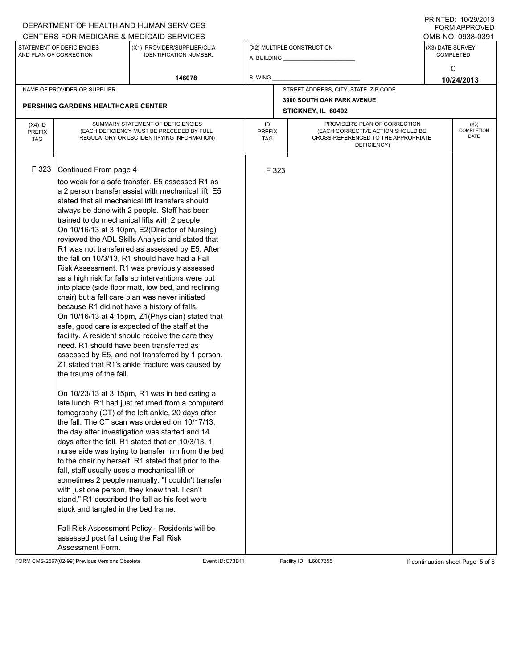|                                                     |                                                                                                                                                                                                                                                                                                                                                                                                                                                                                                                                                                                                                                                                                                                                                                                                                                                                                                                                                                                                                                                                                                                                                                                                                                                                                                                                                                                                                                                                                                                                                                                                                                                                                                                                                                                                                                                                                                                                     | DEPARTMENT OF HEALTH AND HUMAN SERVICES<br>CENTERS FOR MEDICARE & MEDICAID SERVICES |                                   |                                                                                                                          |                                       |                                           | FNINILL, IVIZYIZU IJ<br><b>FORM APPROVED</b><br>OMB NO. 0938-0391 |  |  |  |
|-----------------------------------------------------|-------------------------------------------------------------------------------------------------------------------------------------------------------------------------------------------------------------------------------------------------------------------------------------------------------------------------------------------------------------------------------------------------------------------------------------------------------------------------------------------------------------------------------------------------------------------------------------------------------------------------------------------------------------------------------------------------------------------------------------------------------------------------------------------------------------------------------------------------------------------------------------------------------------------------------------------------------------------------------------------------------------------------------------------------------------------------------------------------------------------------------------------------------------------------------------------------------------------------------------------------------------------------------------------------------------------------------------------------------------------------------------------------------------------------------------------------------------------------------------------------------------------------------------------------------------------------------------------------------------------------------------------------------------------------------------------------------------------------------------------------------------------------------------------------------------------------------------------------------------------------------------------------------------------------------------|-------------------------------------------------------------------------------------|-----------------------------------|--------------------------------------------------------------------------------------------------------------------------|---------------------------------------|-------------------------------------------|-------------------------------------------------------------------|--|--|--|
| STATEMENT OF DEFICIENCIES<br>AND PLAN OF CORRECTION |                                                                                                                                                                                                                                                                                                                                                                                                                                                                                                                                                                                                                                                                                                                                                                                                                                                                                                                                                                                                                                                                                                                                                                                                                                                                                                                                                                                                                                                                                                                                                                                                                                                                                                                                                                                                                                                                                                                                     | (X1) PROVIDER/SUPPLIER/CLIA<br><b>IDENTIFICATION NUMBER:</b>                        |                                   |                                                                                                                          | (X2) MULTIPLE CONSTRUCTION            | (X3) DATE SURVEY<br><b>COMPLETED</b><br>C |                                                                   |  |  |  |
|                                                     |                                                                                                                                                                                                                                                                                                                                                                                                                                                                                                                                                                                                                                                                                                                                                                                                                                                                                                                                                                                                                                                                                                                                                                                                                                                                                                                                                                                                                                                                                                                                                                                                                                                                                                                                                                                                                                                                                                                                     | 146078                                                                              | <b>B. WING</b>                    |                                                                                                                          |                                       |                                           | 10/24/2013                                                        |  |  |  |
|                                                     | NAME OF PROVIDER OR SUPPLIER                                                                                                                                                                                                                                                                                                                                                                                                                                                                                                                                                                                                                                                                                                                                                                                                                                                                                                                                                                                                                                                                                                                                                                                                                                                                                                                                                                                                                                                                                                                                                                                                                                                                                                                                                                                                                                                                                                        |                                                                                     |                                   |                                                                                                                          | STREET ADDRESS, CITY, STATE, ZIP CODE |                                           |                                                                   |  |  |  |
|                                                     |                                                                                                                                                                                                                                                                                                                                                                                                                                                                                                                                                                                                                                                                                                                                                                                                                                                                                                                                                                                                                                                                                                                                                                                                                                                                                                                                                                                                                                                                                                                                                                                                                                                                                                                                                                                                                                                                                                                                     |                                                                                     |                                   | <b>3900 SOUTH OAK PARK AVENUE</b><br>STICKNEY, IL 60402                                                                  |                                       |                                           |                                                                   |  |  |  |
| $(X4)$ ID<br><b>PREFIX</b><br><b>TAG</b>            | SUMMARY STATEMENT OF DEFICIENCIES<br>(EACH DEFICIENCY MUST BE PRECEDED BY FULL<br>REGULATORY OR LSC IDENTIFYING INFORMATION)                                                                                                                                                                                                                                                                                                                                                                                                                                                                                                                                                                                                                                                                                                                                                                                                                                                                                                                                                                                                                                                                                                                                                                                                                                                                                                                                                                                                                                                                                                                                                                                                                                                                                                                                                                                                        |                                                                                     | ID<br><b>PREFIX</b><br><b>TAG</b> | PROVIDER'S PLAN OF CORRECTION<br>(EACH CORRECTIVE ACTION SHOULD BE<br>CROSS-REFERENCED TO THE APPROPRIATE<br>DEFICIENCY) |                                       |                                           | (X5)<br>COMPLETION<br><b>DATE</b>                                 |  |  |  |
| F 323                                               | <b>PERSHING GARDENS HEALTHCARE CENTER</b><br>Continued From page 4<br>too weak for a safe transfer. E5 assessed R1 as<br>a 2 person transfer assist with mechanical lift. E5<br>stated that all mechanical lift transfers should<br>always be done with 2 people. Staff has been<br>trained to do mechanical lifts with 2 people.<br>On 10/16/13 at 3:10pm, E2(Director of Nursing)<br>reviewed the ADL Skills Analysis and stated that<br>R1 was not transferred as assessed by E5. After<br>the fall on 10/3/13, R1 should have had a Fall<br>Risk Assessment. R1 was previously assessed<br>as a high risk for falls so interventions were put<br>into place (side floor matt, low bed, and reclining<br>chair) but a fall care plan was never initiated<br>because R1 did not have a history of falls.<br>On 10/16/13 at 4:15pm, Z1(Physician) stated that<br>safe, good care is expected of the staff at the<br>facility. A resident should receive the care they<br>need. R1 should have been transferred as<br>assessed by E5, and not transferred by 1 person.<br>Z1 stated that R1's ankle fracture was caused by<br>the trauma of the fall.<br>On 10/23/13 at 3:15pm, R1 was in bed eating a<br>late lunch. R1 had just returned from a computerd<br>tomography (CT) of the left ankle, 20 days after<br>the fall. The CT scan was ordered on 10/17/13,<br>the day after investigation was started and 14<br>days after the fall. R1 stated that on 10/3/13, 1<br>nurse aide was trying to transfer him from the bed<br>to the chair by herself. R1 stated that prior to the<br>fall, staff usually uses a mechanical lift or<br>sometimes 2 people manually. "I couldn't transfer<br>with just one person, they knew that. I can't<br>stand." R1 described the fall as his feet were<br>stuck and tangled in the bed frame.<br>Fall Risk Assessment Policy - Residents will be<br>assessed post fall using the Fall Risk |                                                                                     |                                   | F 323                                                                                                                    |                                       |                                           |                                                                   |  |  |  |

FORM CMS-2567(02-99) Previous Versions Obsolete Event ID:C73B11 Facility ID: IL6007355 If continuation sheet Page 5 of 6